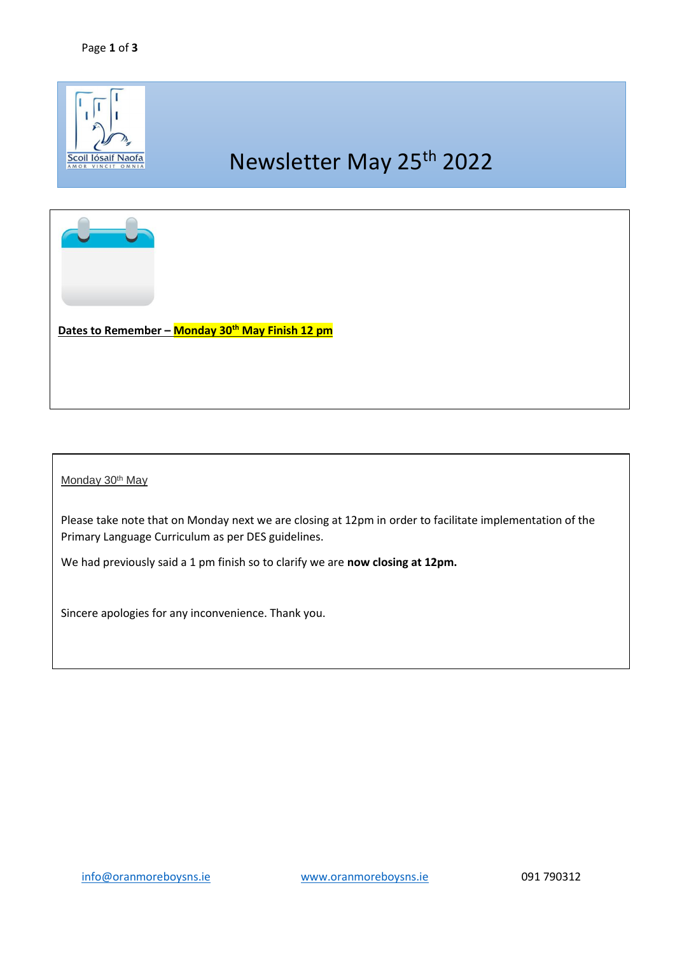

## Monday 30<sup>th</sup> May

Please take note that on Monday next we are closing at 12pm in order to facilitate implementation of the Primary Language Curriculum as per DES guidelines.

We had previously said a 1 pm finish so to clarify we are **now closing at 12pm.** 

Sincere apologies for any inconvenience. Thank you.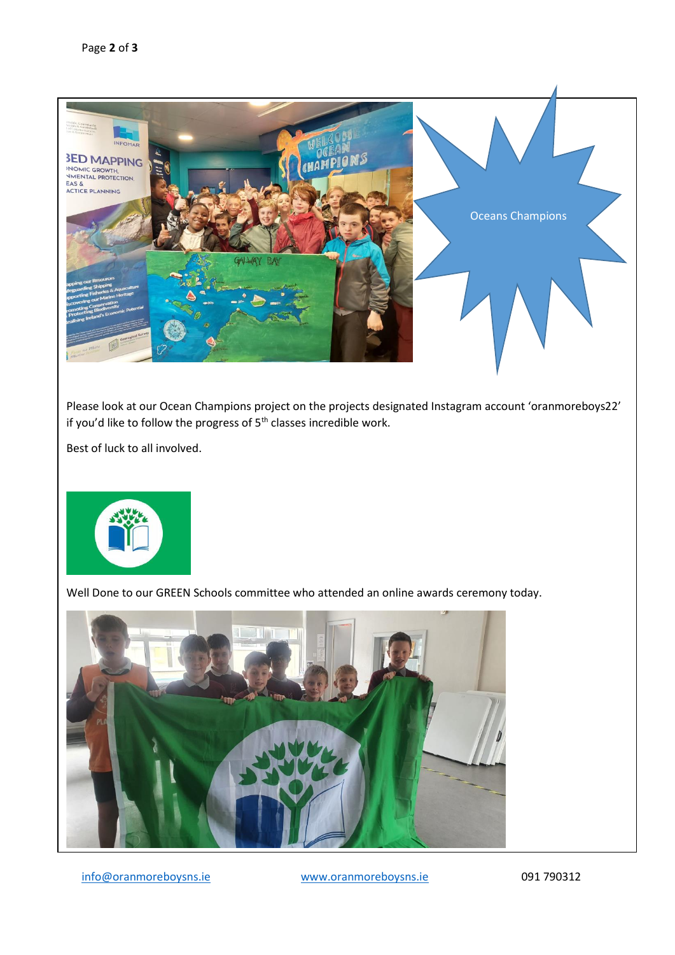

Please look at our Ocean Champions project on the projects designated Instagram account 'oranmoreboys22' if you'd like to follow the progress of  $5<sup>th</sup>$  classes incredible work.

Best of luck to all involved.



Well Done to our GREEN Schools committee who attended an online awards ceremony today.



[info@oranmoreboysns.ie](mailto:info@oranmoreboysns.ie) [www.oranmoreboysns.ie](http://www.oranmoreboysns.i/) 091 790312